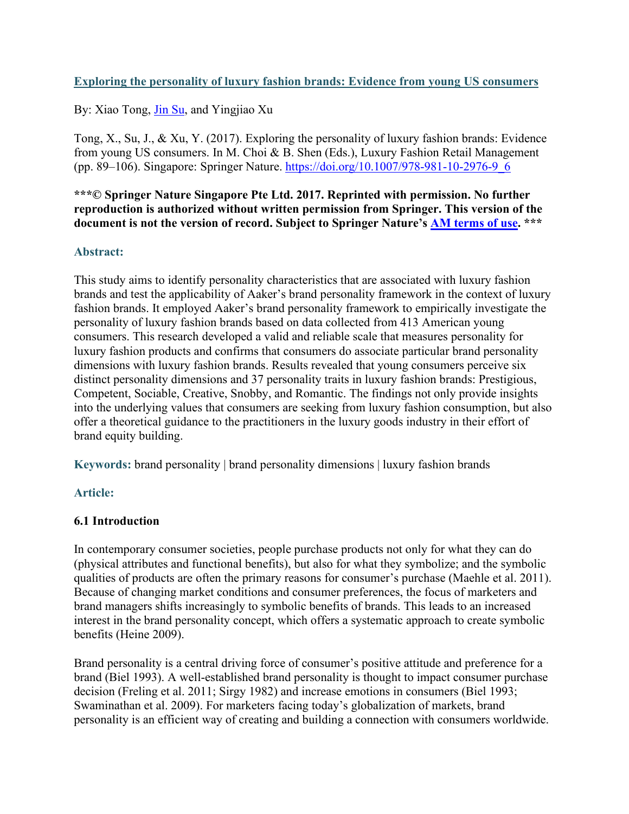# **Exploring the personality of luxury fashion brands: Evidence from young US consumers**

By: Xiao Tong, *Jin Su*, and Yingjiao Xu

Tong, X., Su, J., & Xu, Y. (2017). Exploring the personality of luxury fashion brands: Evidence from young US consumers. In M. Choi & B. Shen (Eds.), Luxury Fashion Retail Management (pp. 89–106). Singapore: Springer Nature. [https://doi.org/10.1007/978-981-10-2976-9\\_6](https://doi.org/10.1007/978-981-10-2976-9_6)

## **\*\*\*© Springer Nature Singapore Pte Ltd. 2017. Reprinted with permission. No further reproduction is authorized without written permission from Springer. This version of the document is not the version of record. Subject to Springer Nature's [AM terms of use.](https://www.springernature.com/gp/open-research/policies/accepted-manuscript-terms) \*\*\***

## **Abstract:**

This study aims to identify personality characteristics that are associated with luxury fashion brands and test the applicability of Aaker's brand personality framework in the context of luxury fashion brands. It employed Aaker's brand personality framework to empirically investigate the personality of luxury fashion brands based on data collected from 413 American young consumers. This research developed a valid and reliable scale that measures personality for luxury fashion products and confirms that consumers do associate particular brand personality dimensions with luxury fashion brands. Results revealed that young consumers perceive six distinct personality dimensions and 37 personality traits in luxury fashion brands: Prestigious, Competent, Sociable, Creative, Snobby, and Romantic. The findings not only provide insights into the underlying values that consumers are seeking from luxury fashion consumption, but also offer a theoretical guidance to the practitioners in the luxury goods industry in their effort of brand equity building.

**Keywords:** brand personality | brand personality dimensions | luxury fashion brands

# **Article:**

## **6.1 Introduction**

In contemporary consumer societies, people purchase products not only for what they can do (physical attributes and functional benefits), but also for what they symbolize; and the symbolic qualities of products are often the primary reasons for consumer's purchase (Maehle et al. 2011). Because of changing market conditions and consumer preferences, the focus of marketers and brand managers shifts increasingly to symbolic benefits of brands. This leads to an increased interest in the brand personality concept, which offers a systematic approach to create symbolic benefits (Heine 2009).

Brand personality is a central driving force of consumer's positive attitude and preference for a brand (Biel 1993). A well-established brand personality is thought to impact consumer purchase decision (Freling et al. 2011; Sirgy 1982) and increase emotions in consumers (Biel 1993; Swaminathan et al. 2009). For marketers facing today's globalization of markets, brand personality is an efficient way of creating and building a connection with consumers worldwide.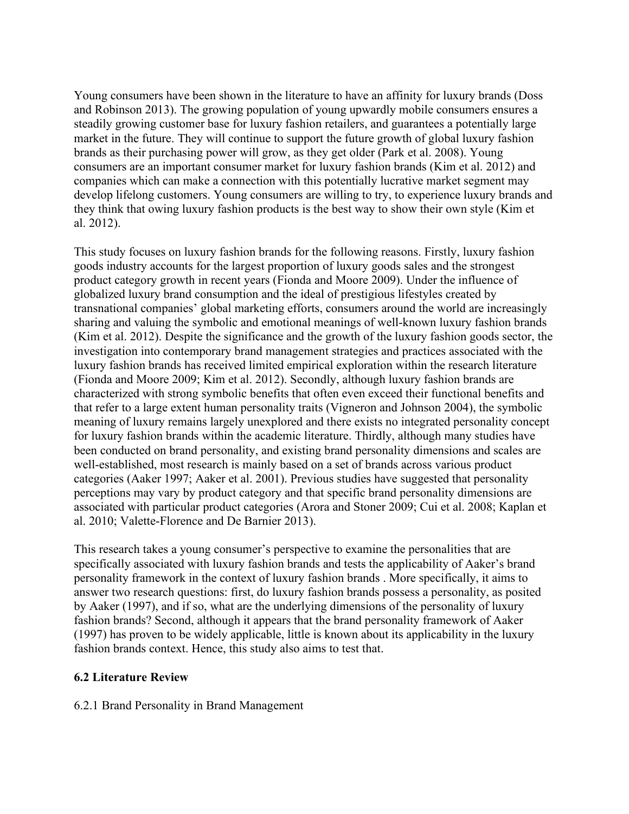Young consumers have been shown in the literature to have an affinity for luxury brands (Doss and Robinson 2013). The growing population of young upwardly mobile consumers ensures a steadily growing customer base for luxury fashion retailers, and guarantees a potentially large market in the future. They will continue to support the future growth of global luxury fashion brands as their purchasing power will grow, as they get older (Park et al. 2008). Young consumers are an important consumer market for luxury fashion brands (Kim et al. 2012) and companies which can make a connection with this potentially lucrative market segment may develop lifelong customers. Young consumers are willing to try, to experience luxury brands and they think that owing luxury fashion products is the best way to show their own style (Kim et al. 2012).

This study focuses on luxury fashion brands for the following reasons. Firstly, luxury fashion goods industry accounts for the largest proportion of luxury goods sales and the strongest product category growth in recent years (Fionda and Moore 2009). Under the influence of globalized luxury brand consumption and the ideal of prestigious lifestyles created by transnational companies' global marketing efforts, consumers around the world are increasingly sharing and valuing the symbolic and emotional meanings of well-known luxury fashion brands (Kim et al. 2012). Despite the significance and the growth of the luxury fashion goods sector, the investigation into contemporary brand management strategies and practices associated with the luxury fashion brands has received limited empirical exploration within the research literature (Fionda and Moore 2009; Kim et al. 2012). Secondly, although luxury fashion brands are characterized with strong symbolic benefits that often even exceed their functional benefits and that refer to a large extent human personality traits (Vigneron and Johnson 2004), the symbolic meaning of luxury remains largely unexplored and there exists no integrated personality concept for luxury fashion brands within the academic literature. Thirdly, although many studies have been conducted on brand personality, and existing brand personality dimensions and scales are well-established, most research is mainly based on a set of brands across various product categories (Aaker 1997; Aaker et al. 2001). Previous studies have suggested that personality perceptions may vary by product category and that specific brand personality dimensions are associated with particular product categories (Arora and Stoner 2009; Cui et al. 2008; Kaplan et al. 2010; Valette-Florence and De Barnier 2013).

This research takes a young consumer's perspective to examine the personalities that are specifically associated with luxury fashion brands and tests the applicability of Aaker's brand personality framework in the context of luxury fashion brands . More specifically, it aims to answer two research questions: first, do luxury fashion brands possess a personality, as posited by Aaker (1997), and if so, what are the underlying dimensions of the personality of luxury fashion brands? Second, although it appears that the brand personality framework of Aaker (1997) has proven to be widely applicable, little is known about its applicability in the luxury fashion brands context. Hence, this study also aims to test that.

## **6.2 Literature Review**

#### 6.2.1 Brand Personality in Brand Management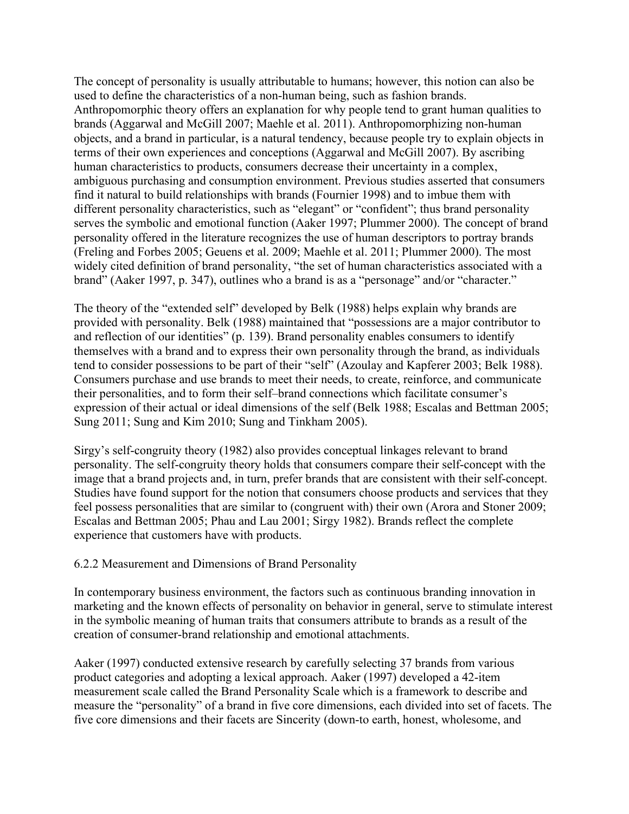The concept of personality is usually attributable to humans; however, this notion can also be used to define the characteristics of a non-human being, such as fashion brands. Anthropomorphic theory offers an explanation for why people tend to grant human qualities to brands (Aggarwal and McGill 2007; Maehle et al. 2011). Anthropomorphizing non-human objects, and a brand in particular, is a natural tendency, because people try to explain objects in terms of their own experiences and conceptions (Aggarwal and McGill 2007). By ascribing human characteristics to products, consumers decrease their uncertainty in a complex, ambiguous purchasing and consumption environment. Previous studies asserted that consumers find it natural to build relationships with brands (Fournier 1998) and to imbue them with different personality characteristics, such as "elegant" or "confident"; thus brand personality serves the symbolic and emotional function (Aaker 1997; Plummer 2000). The concept of brand personality offered in the literature recognizes the use of human descriptors to portray brands (Freling and Forbes 2005; Geuens et al. 2009; Maehle et al. 2011; Plummer 2000). The most widely cited definition of brand personality, "the set of human characteristics associated with a brand" (Aaker 1997, p. 347), outlines who a brand is as a "personage" and/or "character."

The theory of the "extended self" developed by Belk (1988) helps explain why brands are provided with personality. Belk (1988) maintained that "possessions are a major contributor to and reflection of our identities" (p. 139). Brand personality enables consumers to identify themselves with a brand and to express their own personality through the brand, as individuals tend to consider possessions to be part of their "self" (Azoulay and Kapferer 2003; Belk 1988). Consumers purchase and use brands to meet their needs, to create, reinforce, and communicate their personalities, and to form their self–brand connections which facilitate consumer's expression of their actual or ideal dimensions of the self (Belk 1988; Escalas and Bettman 2005; Sung 2011; Sung and Kim 2010; Sung and Tinkham 2005).

Sirgy's self-congruity theory (1982) also provides conceptual linkages relevant to brand personality. The self-congruity theory holds that consumers compare their self-concept with the image that a brand projects and, in turn, prefer brands that are consistent with their self-concept. Studies have found support for the notion that consumers choose products and services that they feel possess personalities that are similar to (congruent with) their own (Arora and Stoner 2009; Escalas and Bettman 2005; Phau and Lau 2001; Sirgy 1982). Brands reflect the complete experience that customers have with products.

#### 6.2.2 Measurement and Dimensions of Brand Personality

In contemporary business environment, the factors such as continuous branding innovation in marketing and the known effects of personality on behavior in general, serve to stimulate interest in the symbolic meaning of human traits that consumers attribute to brands as a result of the creation of consumer-brand relationship and emotional attachments.

Aaker (1997) conducted extensive research by carefully selecting 37 brands from various product categories and adopting a lexical approach. Aaker (1997) developed a 42-item measurement scale called the Brand Personality Scale which is a framework to describe and measure the "personality" of a brand in five core dimensions, each divided into set of facets. The five core dimensions and their facets are Sincerity (down-to earth, honest, wholesome, and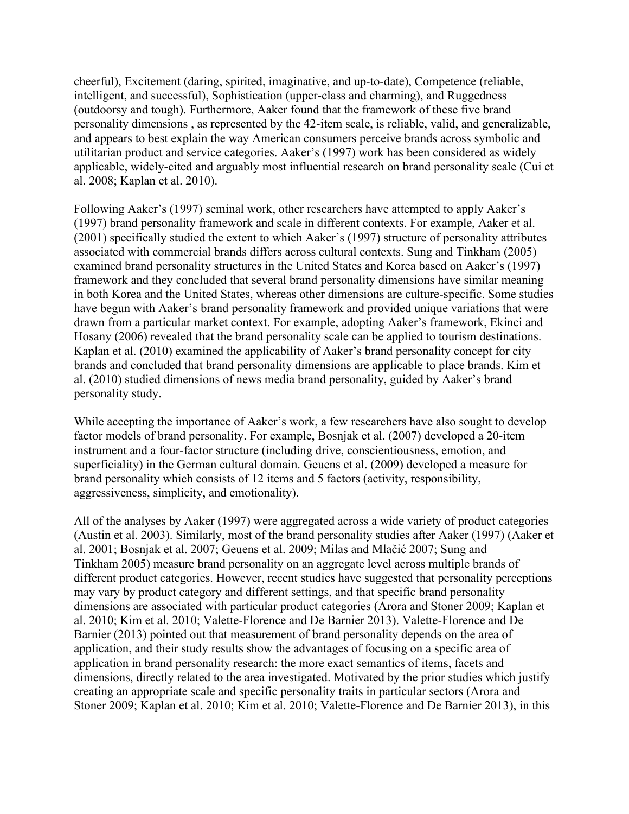cheerful), Excitement (daring, spirited, imaginative, and up-to-date), Competence (reliable, intelligent, and successful), Sophistication (upper-class and charming), and Ruggedness (outdoorsy and tough). Furthermore, Aaker found that the framework of these five brand personality dimensions , as represented by the 42-item scale, is reliable, valid, and generalizable, and appears to best explain the way American consumers perceive brands across symbolic and utilitarian product and service categories. Aaker's (1997) work has been considered as widely applicable, widely-cited and arguably most influential research on brand personality scale (Cui et al. 2008; Kaplan et al. 2010).

Following Aaker's (1997) seminal work, other researchers have attempted to apply Aaker's (1997) brand personality framework and scale in different contexts. For example, Aaker et al. (2001) specifically studied the extent to which Aaker's (1997) structure of personality attributes associated with commercial brands differs across cultural contexts. Sung and Tinkham (2005) examined brand personality structures in the United States and Korea based on Aaker's (1997) framework and they concluded that several brand personality dimensions have similar meaning in both Korea and the United States, whereas other dimensions are culture-specific. Some studies have begun with Aaker's brand personality framework and provided unique variations that were drawn from a particular market context. For example, adopting Aaker's framework, Ekinci and Hosany (2006) revealed that the brand personality scale can be applied to tourism destinations. Kaplan et al. (2010) examined the applicability of Aaker's brand personality concept for city brands and concluded that brand personality dimensions are applicable to place brands. Kim et al. (2010) studied dimensions of news media brand personality, guided by Aaker's brand personality study.

While accepting the importance of Aaker's work, a few researchers have also sought to develop factor models of brand personality. For example, Bosnjak et al. (2007) developed a 20-item instrument and a four-factor structure (including drive, conscientiousness, emotion, and superficiality) in the German cultural domain. Geuens et al. (2009) developed a measure for brand personality which consists of 12 items and 5 factors (activity, responsibility, aggressiveness, simplicity, and emotionality).

All of the analyses by Aaker (1997) were aggregated across a wide variety of product categories (Austin et al. 2003). Similarly, most of the brand personality studies after Aaker (1997) (Aaker et al. 2001; Bosnjak et al. 2007; Geuens et al. 2009; Milas and Mlačić 2007; Sung and Tinkham 2005) measure brand personality on an aggregate level across multiple brands of different product categories. However, recent studies have suggested that personality perceptions may vary by product category and different settings, and that specific brand personality dimensions are associated with particular product categories (Arora and Stoner 2009; Kaplan et al. 2010; Kim et al. 2010; Valette-Florence and De Barnier 2013). Valette-Florence and De Barnier (2013) pointed out that measurement of brand personality depends on the area of application, and their study results show the advantages of focusing on a specific area of application in brand personality research: the more exact semantics of items, facets and dimensions, directly related to the area investigated. Motivated by the prior studies which justify creating an appropriate scale and specific personality traits in particular sectors (Arora and Stoner 2009; Kaplan et al. 2010; Kim et al. 2010; Valette-Florence and De Barnier 2013), in this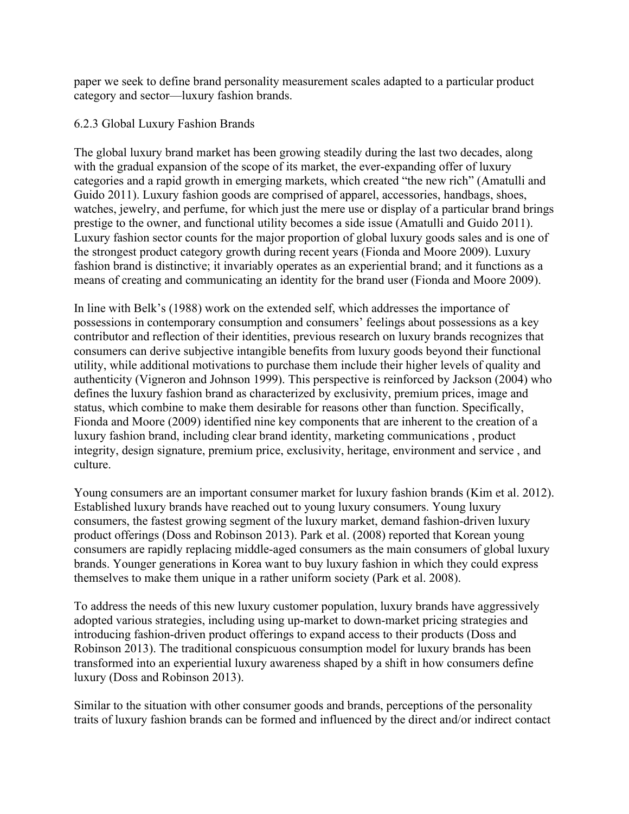paper we seek to define brand personality measurement scales adapted to a particular product category and sector—luxury fashion brands.

#### 6.2.3 Global Luxury Fashion Brands

The global luxury brand market has been growing steadily during the last two decades, along with the gradual expansion of the scope of its market, the ever-expanding offer of luxury categories and a rapid growth in emerging markets, which created "the new rich" (Amatulli and Guido 2011). Luxury fashion goods are comprised of apparel, accessories, handbags, shoes, watches, jewelry, and perfume, for which just the mere use or display of a particular brand brings prestige to the owner, and functional utility becomes a side issue (Amatulli and Guido 2011). Luxury fashion sector counts for the major proportion of global luxury goods sales and is one of the strongest product category growth during recent years (Fionda and Moore 2009). Luxury fashion brand is distinctive; it invariably operates as an experiential brand; and it functions as a means of creating and communicating an identity for the brand user (Fionda and Moore 2009).

In line with Belk's (1988) work on the extended self, which addresses the importance of possessions in contemporary consumption and consumers' feelings about possessions as a key contributor and reflection of their identities, previous research on luxury brands recognizes that consumers can derive subjective intangible benefits from luxury goods beyond their functional utility, while additional motivations to purchase them include their higher levels of quality and authenticity (Vigneron and Johnson 1999). This perspective is reinforced by Jackson (2004) who defines the luxury fashion brand as characterized by exclusivity, premium prices, image and status, which combine to make them desirable for reasons other than function. Specifically, Fionda and Moore (2009) identified nine key components that are inherent to the creation of a luxury fashion brand, including clear brand identity, marketing communications , product integrity, design signature, premium price, exclusivity, heritage, environment and service , and culture.

Young consumers are an important consumer market for luxury fashion brands (Kim et al. 2012). Established luxury brands have reached out to young luxury consumers. Young luxury consumers, the fastest growing segment of the luxury market, demand fashion-driven luxury product offerings (Doss and Robinson 2013). Park et al. (2008) reported that Korean young consumers are rapidly replacing middle-aged consumers as the main consumers of global luxury brands. Younger generations in Korea want to buy luxury fashion in which they could express themselves to make them unique in a rather uniform society (Park et al. 2008).

To address the needs of this new luxury customer population, luxury brands have aggressively adopted various strategies, including using up-market to down-market pricing strategies and introducing fashion-driven product offerings to expand access to their products (Doss and Robinson 2013). The traditional conspicuous consumption model for luxury brands has been transformed into an experiential luxury awareness shaped by a shift in how consumers define luxury (Doss and Robinson 2013).

Similar to the situation with other consumer goods and brands, perceptions of the personality traits of luxury fashion brands can be formed and influenced by the direct and/or indirect contact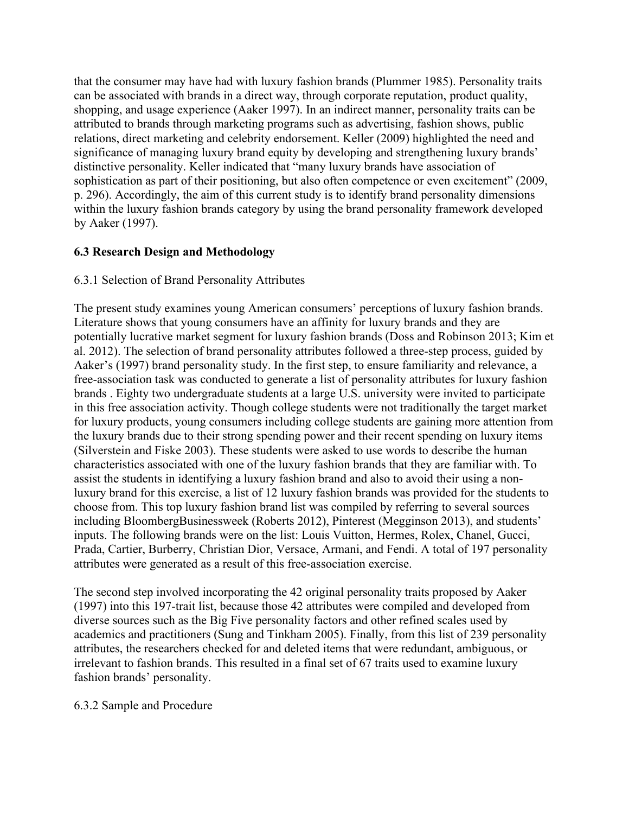that the consumer may have had with luxury fashion brands (Plummer 1985). Personality traits can be associated with brands in a direct way, through corporate reputation, product quality, shopping, and usage experience (Aaker 1997). In an indirect manner, personality traits can be attributed to brands through marketing programs such as advertising, fashion shows, public relations, direct marketing and celebrity endorsement. Keller (2009) highlighted the need and significance of managing luxury brand equity by developing and strengthening luxury brands' distinctive personality. Keller indicated that "many luxury brands have association of sophistication as part of their positioning, but also often competence or even excitement" (2009, p. 296). Accordingly, the aim of this current study is to identify brand personality dimensions within the luxury fashion brands category by using the brand personality framework developed by Aaker (1997).

## **6.3 Research Design and Methodology**

#### 6.3.1 Selection of Brand Personality Attributes

The present study examines young American consumers' perceptions of luxury fashion brands. Literature shows that young consumers have an affinity for luxury brands and they are potentially lucrative market segment for luxury fashion brands (Doss and Robinson 2013; Kim et al. 2012). The selection of brand personality attributes followed a three-step process, guided by Aaker's (1997) brand personality study. In the first step, to ensure familiarity and relevance, a free-association task was conducted to generate a list of personality attributes for luxury fashion brands . Eighty two undergraduate students at a large U.S. university were invited to participate in this free association activity. Though college students were not traditionally the target market for luxury products, young consumers including college students are gaining more attention from the luxury brands due to their strong spending power and their recent spending on luxury items (Silverstein and Fiske 2003). These students were asked to use words to describe the human characteristics associated with one of the luxury fashion brands that they are familiar with. To assist the students in identifying a luxury fashion brand and also to avoid their using a nonluxury brand for this exercise, a list of 12 luxury fashion brands was provided for the students to choose from. This top luxury fashion brand list was compiled by referring to several sources including BloombergBusinessweek (Roberts 2012), Pinterest (Megginson 2013), and students' inputs. The following brands were on the list: Louis Vuitton, Hermes, Rolex, Chanel, Gucci, Prada, Cartier, Burberry, Christian Dior, Versace, Armani, and Fendi. A total of 197 personality attributes were generated as a result of this free-association exercise.

The second step involved incorporating the 42 original personality traits proposed by Aaker (1997) into this 197-trait list, because those 42 attributes were compiled and developed from diverse sources such as the Big Five personality factors and other refined scales used by academics and practitioners (Sung and Tinkham 2005). Finally, from this list of 239 personality attributes, the researchers checked for and deleted items that were redundant, ambiguous, or irrelevant to fashion brands. This resulted in a final set of 67 traits used to examine luxury fashion brands' personality.

#### 6.3.2 Sample and Procedure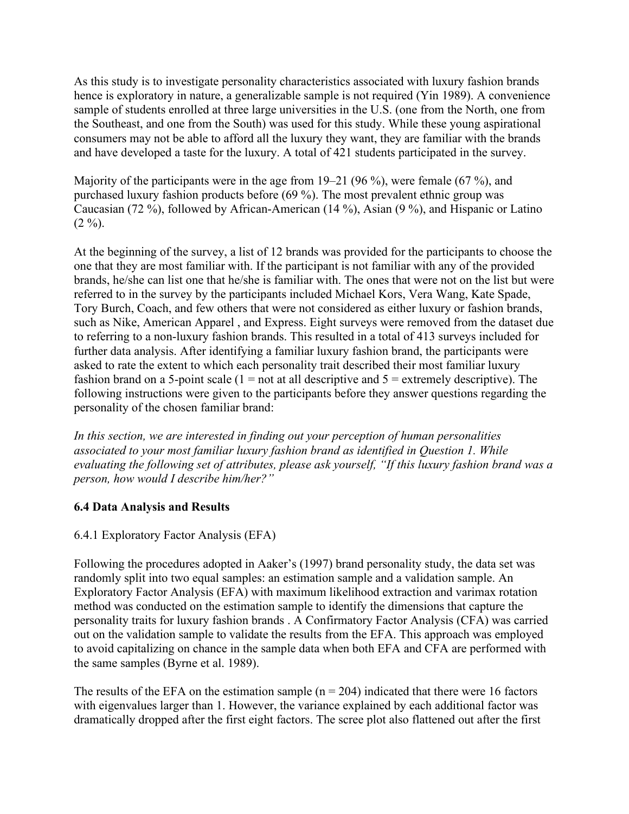As this study is to investigate personality characteristics associated with luxury fashion brands hence is exploratory in nature, a generalizable sample is not required (Yin 1989). A convenience sample of students enrolled at three large universities in the U.S. (one from the North, one from the Southeast, and one from the South) was used for this study. While these young aspirational consumers may not be able to afford all the luxury they want, they are familiar with the brands and have developed a taste for the luxury. A total of 421 students participated in the survey.

Majority of the participants were in the age from 19–21 (96 %), were female (67 %), and purchased luxury fashion products before (69 %). The most prevalent ethnic group was Caucasian (72 %), followed by African-American (14 %), Asian (9 %), and Hispanic or Latino  $(2 \frac{9}{6})$ .

At the beginning of the survey, a list of 12 brands was provided for the participants to choose the one that they are most familiar with. If the participant is not familiar with any of the provided brands, he/she can list one that he/she is familiar with. The ones that were not on the list but were referred to in the survey by the participants included Michael Kors, Vera Wang, Kate Spade, Tory Burch, Coach, and few others that were not considered as either luxury or fashion brands, such as Nike, American Apparel , and Express. Eight surveys were removed from the dataset due to referring to a non-luxury fashion brands. This resulted in a total of 413 surveys included for further data analysis. After identifying a familiar luxury fashion brand, the participants were asked to rate the extent to which each personality trait described their most familiar luxury fashion brand on a 5-point scale  $(1 = not at all descriptive and 5 = extremely descriptive)$ . The following instructions were given to the participants before they answer questions regarding the personality of the chosen familiar brand:

*In this section, we are interested in finding out your perception of human personalities associated to your most familiar luxury fashion brand as identified in Question 1. While evaluating the following set of attributes, please ask yourself, "If this luxury fashion brand was a person, how would I describe him/her?"*

## **6.4 Data Analysis and Results**

#### 6.4.1 Exploratory Factor Analysis (EFA)

Following the procedures adopted in Aaker's (1997) brand personality study, the data set was randomly split into two equal samples: an estimation sample and a validation sample. An Exploratory Factor Analysis (EFA) with maximum likelihood extraction and varimax rotation method was conducted on the estimation sample to identify the dimensions that capture the personality traits for luxury fashion brands . A Confirmatory Factor Analysis (CFA) was carried out on the validation sample to validate the results from the EFA. This approach was employed to avoid capitalizing on chance in the sample data when both EFA and CFA are performed with the same samples (Byrne et al. 1989).

The results of the EFA on the estimation sample  $(n = 204)$  indicated that there were 16 factors with eigenvalues larger than 1. However, the variance explained by each additional factor was dramatically dropped after the first eight factors. The scree plot also flattened out after the first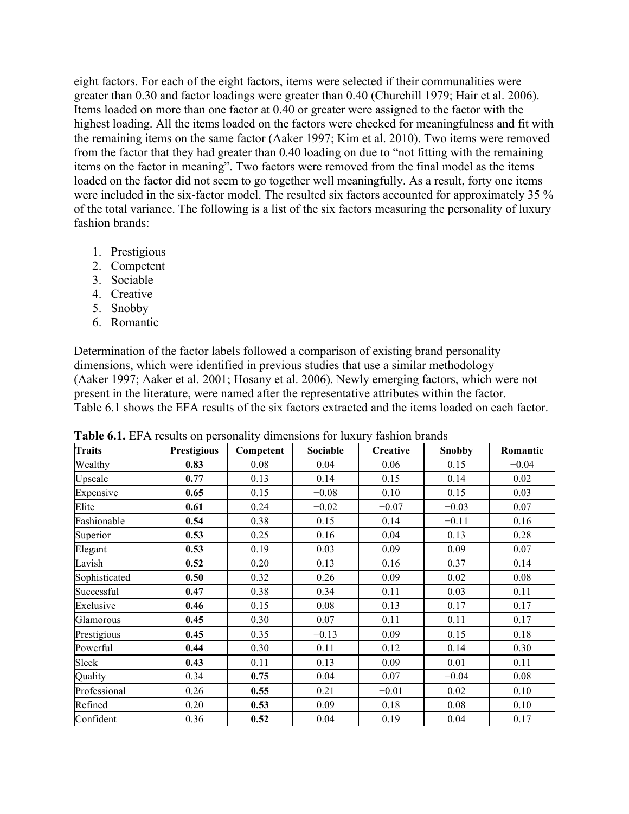eight factors. For each of the eight factors, items were selected if their communalities were greater than 0.30 and factor loadings were greater than 0.40 (Churchill 1979; Hair et al. 2006). Items loaded on more than one factor at 0.40 or greater were assigned to the factor with the highest loading. All the items loaded on the factors were checked for meaningfulness and fit with the remaining items on the same factor (Aaker 1997; Kim et al. 2010). Two items were removed from the factor that they had greater than 0.40 loading on due to "not fitting with the remaining items on the factor in meaning". Two factors were removed from the final model as the items loaded on the factor did not seem to go together well meaningfully. As a result, forty one items were included in the six-factor model. The resulted six factors accounted for approximately 35 % of the total variance. The following is a list of the six factors measuring the personality of luxury fashion brands:

- 1. Prestigious
- 2. Competent
- 3. Sociable
- 4. Creative
- 5. Snobby
- 6. Romantic

Determination of the factor labels followed a comparison of existing brand personality dimensions, which were identified in previous studies that use a similar methodology (Aaker 1997; Aaker et al. 2001; Hosany et al. 2006). Newly emerging factors, which were not present in the literature, were named after the representative attributes within the factor. Table 6.1 shows the EFA results of the six factors extracted and the items loaded on each factor.

| <b>Traits</b> | <b>Prestigious</b> | Competent | <b>Sociable</b> | <b>Creative</b> | <b>Snobby</b> | Romantic |
|---------------|--------------------|-----------|-----------------|-----------------|---------------|----------|
| Wealthy       | 0.83               | 0.08      | 0.04            | 0.06            | 0.15          | $-0.04$  |
| Upscale       | 0.77               | 0.13      | 0.14            | 0.15            | 0.14          | 0.02     |
| Expensive     | 0.65               | 0.15      | $-0.08$         | 0.10            | 0.15          | 0.03     |
| Elite         | 0.61               | 0.24      | $-0.02$         | $-0.07$         | $-0.03$       | 0.07     |
| Fashionable   | 0.54               | 0.38      | 0.15            | 0.14            | $-0.11$       | 0.16     |
| Superior      | 0.53               | 0.25      | 0.16            | 0.04            | 0.13          | 0.28     |
| Elegant       | 0.53               | 0.19      | 0.03            | 0.09            | 0.09          | 0.07     |
| Lavish        | 0.52               | 0.20      | 0.13            | 0.16            | 0.37          | 0.14     |
| Sophisticated | 0.50               | 0.32      | 0.26            | 0.09            | 0.02          | 0.08     |
| Successful    | 0.47               | 0.38      | 0.34            | 0.11            | 0.03          | 0.11     |
| Exclusive     | 0.46               | 0.15      | 0.08            | 0.13            | 0.17          | 0.17     |
| Glamorous     | 0.45               | 0.30      | 0.07            | 0.11            | 0.11          | 0.17     |
| Prestigious   | 0.45               | 0.35      | $-0.13$         | 0.09            | 0.15          | 0.18     |
| Powerful      | 0.44               | 0.30      | 0.11            | 0.12            | 0.14          | 0.30     |
| Sleek         | 0.43               | 0.11      | 0.13            | 0.09            | 0.01          | 0.11     |
| Quality       | 0.34               | 0.75      | 0.04            | 0.07            | $-0.04$       | 0.08     |
| Professional  | 0.26               | 0.55      | 0.21            | $-0.01$         | 0.02          | 0.10     |
| Refined       | 0.20               | 0.53      | 0.09            | 0.18            | 0.08          | 0.10     |
| Confident     | 0.36               | 0.52      | 0.04            | 0.19            | 0.04          | 0.17     |

**Table 6.1.** EFA results on personality dimensions for luxury fashion brands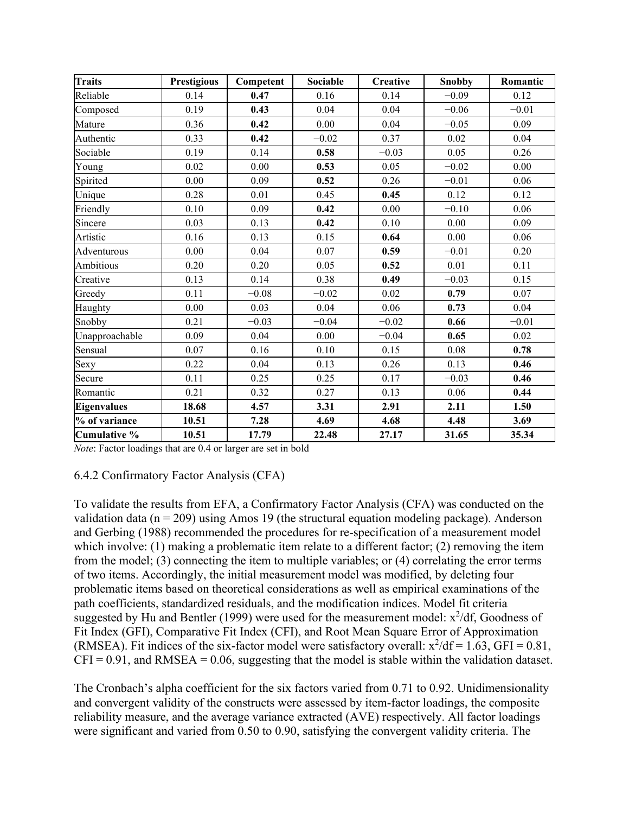| <b>Traits</b>      | <b>Prestigious</b> | Competent | Sociable | <b>Creative</b> | <b>Snobby</b> | Romantic |
|--------------------|--------------------|-----------|----------|-----------------|---------------|----------|
| Reliable           | 0.14               | 0.47      | 0.16     | 0.14            | $-0.09$       | 0.12     |
| Composed           | 0.19               | 0.43      | 0.04     | 0.04            | $-0.06$       | $-0.01$  |
| Mature             | 0.36               | 0.42      | 0.00     | 0.04            | $-0.05$       | 0.09     |
| Authentic          | 0.33               | 0.42      | $-0.02$  | 0.37            | 0.02          | 0.04     |
| Sociable           | 0.19               | 0.14      | 0.58     | $-0.03$         | 0.05          | 0.26     |
| Young              | 0.02               | 0.00      | 0.53     | 0.05            | $-0.02$       | 0.00     |
| Spirited           | $0.00\,$           | 0.09      | 0.52     | 0.26            | $-0.01$       | 0.06     |
| Unique             | 0.28               | 0.01      | 0.45     | 0.45            | 0.12          | 0.12     |
| Friendly           | 0.10               | 0.09      | 0.42     | 0.00            | $-0.10$       | 0.06     |
| Sincere            | 0.03               | 0.13      | 0.42     | 0.10            | 0.00          | 0.09     |
| Artistic           | 0.16               | 0.13      | 0.15     | 0.64            | 0.00          | 0.06     |
| Adventurous        | 0.00               | 0.04      | 0.07     | 0.59            | $-0.01$       | 0.20     |
| Ambitious          | 0.20               | 0.20      | 0.05     | 0.52            | 0.01          | 0.11     |
| Creative           | 0.13               | 0.14      | 0.38     | 0.49            | $-0.03$       | 0.15     |
| Greedy             | 0.11               | $-0.08$   | $-0.02$  | 0.02            | 0.79          | 0.07     |
| Haughty            | 0.00               | 0.03      | 0.04     | 0.06            | 0.73          | 0.04     |
| Snobby             | 0.21               | $-0.03$   | $-0.04$  | $-0.02$         | 0.66          | $-0.01$  |
| Unapproachable     | 0.09               | 0.04      | 0.00     | $-0.04$         | 0.65          | 0.02     |
| Sensual            | 0.07               | 0.16      | 0.10     | 0.15            | $0.08\,$      | 0.78     |
| Sexy               | 0.22               | 0.04      | 0.13     | 0.26            | 0.13          | 0.46     |
| Secure             | 0.11               | 0.25      | 0.25     | 0.17            | $-0.03$       | 0.46     |
| Romantic           | 0.21               | 0.32      | 0.27     | 0.13            | 0.06          | 0.44     |
| <b>Eigenvalues</b> | 18.68              | 4.57      | 3.31     | 2.91            | 2.11          | 1.50     |
| % of variance      | 10.51              | 7.28      | 4.69     | 4.68            | 4.48          | 3.69     |
| Cumulative %       | 10.51              | 17.79     | 22.48    | 27.17           | 31.65         | 35.34    |

*Note*: Factor loadings that are 0.4 or larger are set in bold

## 6.4.2 Confirmatory Factor Analysis (CFA)

To validate the results from EFA, a Confirmatory Factor Analysis (CFA) was conducted on the validation data ( $n = 209$ ) using Amos 19 (the structural equation modeling package). Anderson and Gerbing (1988) recommended the procedures for re-specification of a measurement model which involve: (1) making a problematic item relate to a different factor; (2) removing the item from the model; (3) connecting the item to multiple variables; or (4) correlating the error terms of two items. Accordingly, the initial measurement model was modified, by deleting four problematic items based on theoretical considerations as well as empirical examinations of the path coefficients, standardized residuals, and the modification indices. Model fit criteria suggested by Hu and Bentler (1999) were used for the measurement model:  $x^2/df$ , Goodness of Fit Index (GFI), Comparative Fit Index (CFI), and Root Mean Square Error of Approximation (RMSEA). Fit indices of the six-factor model were satisfactory overall:  $x^2/df = 1.63$ , GFI = 0.81,  $CFI = 0.91$ , and RMSEA = 0.06, suggesting that the model is stable within the validation dataset.

The Cronbach's alpha coefficient for the six factors varied from 0.71 to 0.92. Unidimensionality and convergent validity of the constructs were assessed by item-factor loadings, the composite reliability measure, and the average variance extracted (AVE) respectively. All factor loadings were significant and varied from 0.50 to 0.90, satisfying the convergent validity criteria. The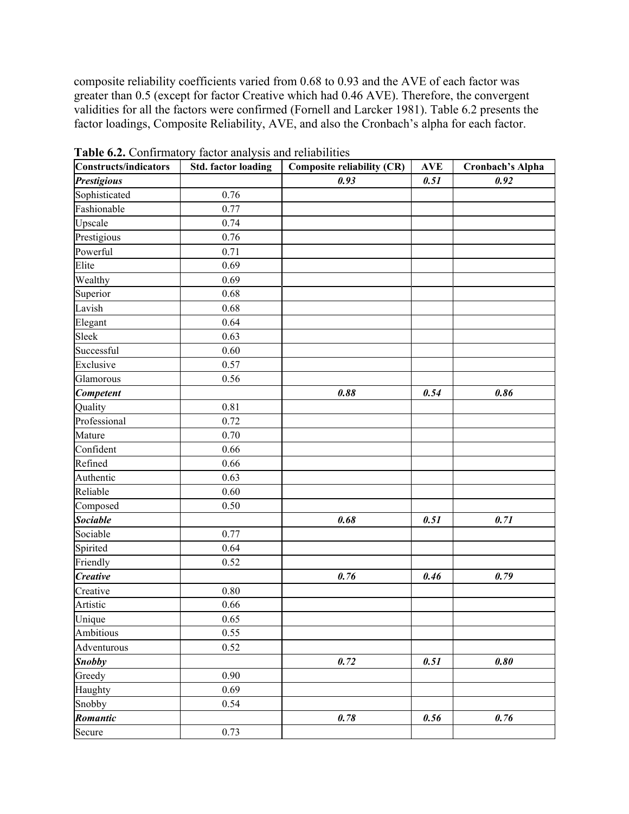composite reliability coefficients varied from 0.68 to 0.93 and the AVE of each factor was greater than 0.5 (except for factor Creative which had 0.46 AVE). Therefore, the convergent validities for all the factors were confirmed (Fornell and Larcker 1981). Table 6.2 presents the factor loadings, Composite Reliability, AVE, and also the Cronbach's alpha for each factor.

| <b>Constructs/indicators</b> | <b>Std. factor loading</b> | Composite reliability (CR) | <b>AVE</b> | <b>Cronbach's Alpha</b> |
|------------------------------|----------------------------|----------------------------|------------|-------------------------|
| <b>Prestigious</b>           |                            | 0.93                       | 0.51       | 0.92                    |
| Sophisticated                | 0.76                       |                            |            |                         |
| Fashionable                  | 0.77                       |                            |            |                         |
| Upscale                      | 0.74                       |                            |            |                         |
| Prestigious                  | 0.76                       |                            |            |                         |
| Powerful                     | 0.71                       |                            |            |                         |
| Elite                        | 0.69                       |                            |            |                         |
| Wealthy                      | 0.69                       |                            |            |                         |
| Superior                     | 0.68                       |                            |            |                         |
| Lavish                       | 0.68                       |                            |            |                         |
| Elegant                      | 0.64                       |                            |            |                         |
| Sleek                        | 0.63                       |                            |            |                         |
| Successful                   | 0.60                       |                            |            |                         |
| Exclusive                    | 0.57                       |                            |            |                         |
| Glamorous                    | 0.56                       |                            |            |                         |
| Competent                    |                            | 0.88                       | 0.54       | 0.86                    |
| Quality                      | 0.81                       |                            |            |                         |
| Professional                 | 0.72                       |                            |            |                         |
| Mature                       | 0.70                       |                            |            |                         |
| Confident                    | 0.66                       |                            |            |                         |
| Refined                      | 0.66                       |                            |            |                         |
| Authentic                    | 0.63                       |                            |            |                         |
| Reliable                     | 0.60                       |                            |            |                         |
| Composed                     | 0.50                       |                            |            |                         |
| <b>Sociable</b>              |                            | 0.68                       | 0.51       | 0.71                    |
| Sociable                     | 0.77                       |                            |            |                         |
| Spirited                     | 0.64                       |                            |            |                         |
| Friendly                     | 0.52                       |                            |            |                         |
| <b>Creative</b>              |                            | 0.76                       | 0.46       | 0.79                    |
| Creative                     | $0.80\,$                   |                            |            |                         |
| Artistic                     | 0.66                       |                            |            |                         |
| Unique                       | 0.65                       |                            |            |                         |
| Ambitious                    | 0.55                       |                            |            |                         |
| Adventurous                  | 0.52                       |                            |            |                         |
| <b>Snobby</b>                |                            | 0.72                       | 0.51       | 0.80                    |
| Greedy                       | 0.90                       |                            |            |                         |
| Haughty                      | 0.69                       |                            |            |                         |
| Snobby                       | 0.54                       |                            |            |                         |
| Romantic                     |                            | 0.78                       | 0.56       | 0.76                    |
| Secure                       | 0.73                       |                            |            |                         |

**Table 6.2.** Confirmatory factor analysis and reliabilities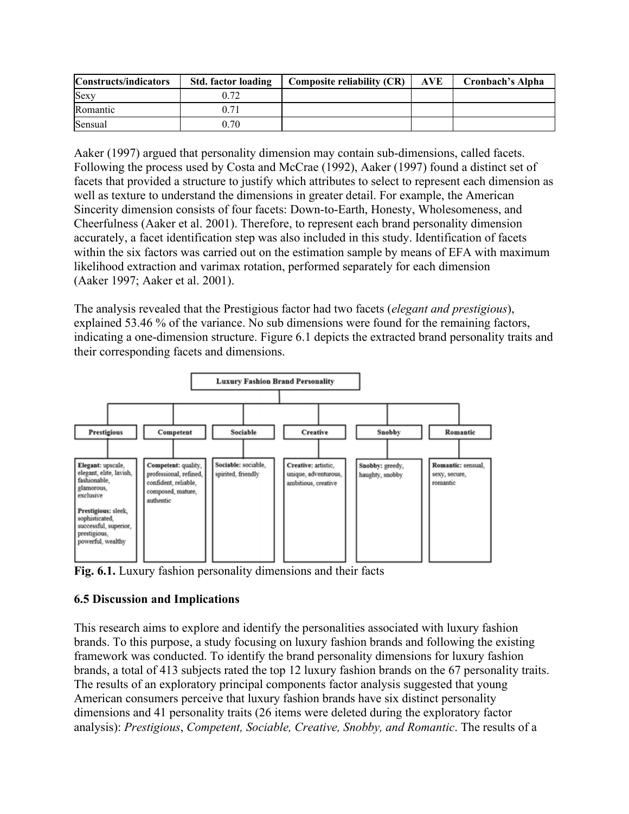| <b>Constructs/indicators</b> | <b>Std. factor loading</b> | Composite reliability (CR) | <b>AVE</b> | Cronbach's Alpha |
|------------------------------|----------------------------|----------------------------|------------|------------------|
| Sexy                         | 0.72                       |                            |            |                  |
| Romantic                     | 0.71                       |                            |            |                  |
| Sensual                      | 0.70                       |                            |            |                  |

Aaker (1997) argued that personality dimension may contain sub-dimensions, called facets. Following the process used by Costa and McCrae (1992), Aaker (1997) found a distinct set of facets that provided a structure to justify which attributes to select to represent each dimension as well as texture to understand the dimensions in greater detail. For example, the American Sincerity dimension consists of four facets: Down-to-Earth, Honesty, Wholesomeness, and Cheerfulness (Aaker et al. 2001). Therefore, to represent each brand personality dimension accurately, a facet identification step was also included in this study. Identification of facets within the six factors was carried out on the estimation sample by means of EFA with maximum likelihood extraction and varimax rotation, performed separately for each dimension (Aaker 1997; Aaker et al. 2001).

The analysis revealed that the Prestigious factor had two facets (*elegant and prestigious*), explained 53.46 % of the variance. No sub dimensions were found for the remaining factors, indicating a one-dimension structure. Figure 6.1 depicts the extracted brand personality traits and their corresponding facets and dimensions.



**Fig. 6.1.** Luxury fashion personality dimensions and their facts

# **6.5 Discussion and Implications**

This research aims to explore and identify the personalities associated with luxury fashion brands. To this purpose, a study focusing on luxury fashion brands and following the existing framework was conducted. To identify the brand personality dimensions for luxury fashion brands, a total of 413 subjects rated the top 12 luxury fashion brands on the 67 personality traits. The results of an exploratory principal components factor analysis suggested that young American consumers perceive that luxury fashion brands have six distinct personality dimensions and 41 personality traits (26 items were deleted during the exploratory factor analysis): *Prestigious*, *Competent, Sociable, Creative, Snobby, and Romantic*. The results of a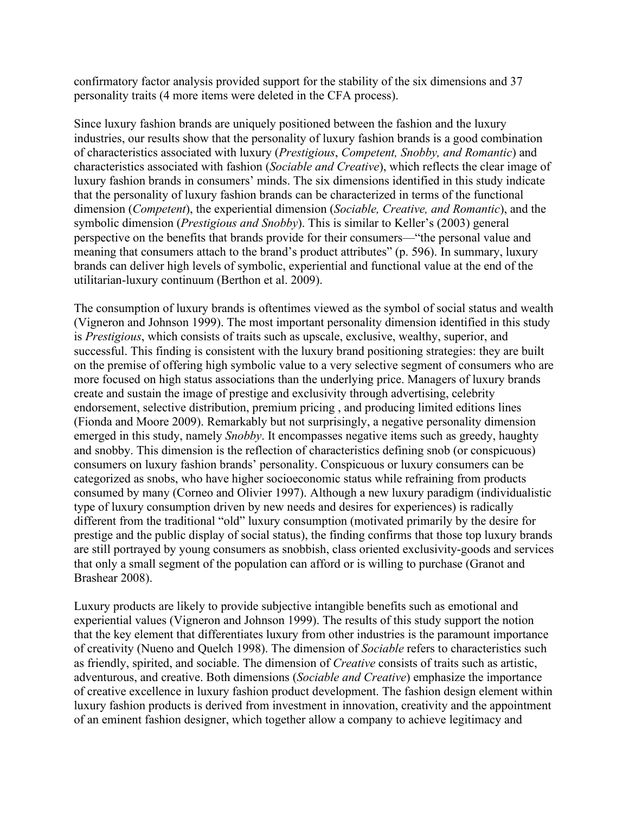confirmatory factor analysis provided support for the stability of the six dimensions and 37 personality traits (4 more items were deleted in the CFA process).

Since luxury fashion brands are uniquely positioned between the fashion and the luxury industries, our results show that the personality of luxury fashion brands is a good combination of characteristics associated with luxury (*Prestigious*, *Competent, Snobby, and Romantic*) and characteristics associated with fashion (*Sociable and Creative*), which reflects the clear image of luxury fashion brands in consumers' minds. The six dimensions identified in this study indicate that the personality of luxury fashion brands can be characterized in terms of the functional dimension (*Competent*), the experiential dimension (*Sociable, Creative, and Romantic*), and the symbolic dimension (*Prestigious and Snobby*). This is similar to Keller's (2003) general perspective on the benefits that brands provide for their consumers—"the personal value and meaning that consumers attach to the brand's product attributes" (p. 596). In summary, luxury brands can deliver high levels of symbolic, experiential and functional value at the end of the utilitarian-luxury continuum (Berthon et al. 2009).

The consumption of luxury brands is oftentimes viewed as the symbol of social status and wealth (Vigneron and Johnson 1999). The most important personality dimension identified in this study is *Prestigious*, which consists of traits such as upscale, exclusive, wealthy, superior, and successful. This finding is consistent with the luxury brand positioning strategies: they are built on the premise of offering high symbolic value to a very selective segment of consumers who are more focused on high status associations than the underlying price. Managers of luxury brands create and sustain the image of prestige and exclusivity through advertising, celebrity endorsement, selective distribution, premium pricing , and producing limited editions lines (Fionda and Moore 2009). Remarkably but not surprisingly, a negative personality dimension emerged in this study, namely *Snobby*. It encompasses negative items such as greedy, haughty and snobby. This dimension is the reflection of characteristics defining snob (or conspicuous) consumers on luxury fashion brands' personality. Conspicuous or luxury consumers can be categorized as snobs, who have higher socioeconomic status while refraining from products consumed by many (Corneo and Olivier 1997). Although a new luxury paradigm (individualistic type of luxury consumption driven by new needs and desires for experiences) is radically different from the traditional "old" luxury consumption (motivated primarily by the desire for prestige and the public display of social status), the finding confirms that those top luxury brands are still portrayed by young consumers as snobbish, class oriented exclusivity-goods and services that only a small segment of the population can afford or is willing to purchase (Granot and Brashear 2008).

Luxury products are likely to provide subjective intangible benefits such as emotional and experiential values (Vigneron and Johnson 1999). The results of this study support the notion that the key element that differentiates luxury from other industries is the paramount importance of creativity (Nueno and Quelch 1998). The dimension of *Sociable* refers to characteristics such as friendly, spirited, and sociable. The dimension of *Creative* consists of traits such as artistic, adventurous, and creative. Both dimensions (*Sociable and Creative*) emphasize the importance of creative excellence in luxury fashion product development. The fashion design element within luxury fashion products is derived from investment in innovation, creativity and the appointment of an eminent fashion designer, which together allow a company to achieve legitimacy and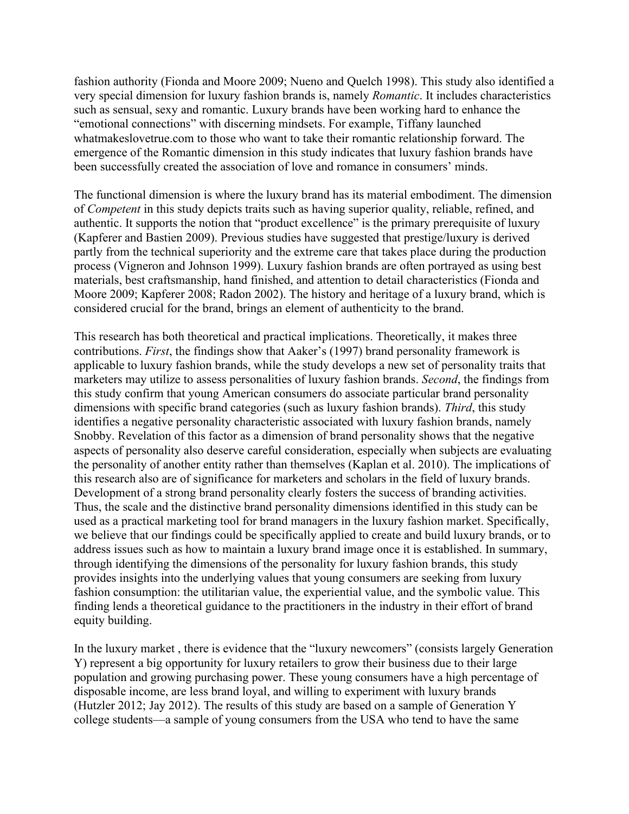fashion authority (Fionda and Moore 2009; Nueno and Quelch 1998). This study also identified a very special dimension for luxury fashion brands is, namely *Romantic*. It includes characteristics such as sensual, sexy and romantic. Luxury brands have been working hard to enhance the "emotional connections" with discerning mindsets. For example, Tiffany launched whatmakeslovetrue.com to those who want to take their romantic relationship forward. The emergence of the Romantic dimension in this study indicates that luxury fashion brands have been successfully created the association of love and romance in consumers' minds.

The functional dimension is where the luxury brand has its material embodiment. The dimension of *Competent* in this study depicts traits such as having superior quality, reliable, refined, and authentic. It supports the notion that "product excellence" is the primary prerequisite of luxury (Kapferer and Bastien 2009). Previous studies have suggested that prestige/luxury is derived partly from the technical superiority and the extreme care that takes place during the production process (Vigneron and Johnson 1999). Luxury fashion brands are often portrayed as using best materials, best craftsmanship, hand finished, and attention to detail characteristics (Fionda and Moore 2009; Kapferer 2008; Radon 2002). The history and heritage of a luxury brand, which is considered crucial for the brand, brings an element of authenticity to the brand.

This research has both theoretical and practical implications. Theoretically, it makes three contributions. *First*, the findings show that Aaker's (1997) brand personality framework is applicable to luxury fashion brands, while the study develops a new set of personality traits that marketers may utilize to assess personalities of luxury fashion brands. *Second*, the findings from this study confirm that young American consumers do associate particular brand personality dimensions with specific brand categories (such as luxury fashion brands). *Third*, this study identifies a negative personality characteristic associated with luxury fashion brands, namely Snobby. Revelation of this factor as a dimension of brand personality shows that the negative aspects of personality also deserve careful consideration, especially when subjects are evaluating the personality of another entity rather than themselves (Kaplan et al. 2010). The implications of this research also are of significance for marketers and scholars in the field of luxury brands. Development of a strong brand personality clearly fosters the success of branding activities. Thus, the scale and the distinctive brand personality dimensions identified in this study can be used as a practical marketing tool for brand managers in the luxury fashion market. Specifically, we believe that our findings could be specifically applied to create and build luxury brands, or to address issues such as how to maintain a luxury brand image once it is established. In summary, through identifying the dimensions of the personality for luxury fashion brands, this study provides insights into the underlying values that young consumers are seeking from luxury fashion consumption: the utilitarian value, the experiential value, and the symbolic value. This finding lends a theoretical guidance to the practitioners in the industry in their effort of brand equity building.

In the luxury market , there is evidence that the "luxury newcomers" (consists largely Generation Y) represent a big opportunity for luxury retailers to grow their business due to their large population and growing purchasing power. These young consumers have a high percentage of disposable income, are less brand loyal, and willing to experiment with luxury brands (Hutzler 2012; Jay 2012). The results of this study are based on a sample of Generation Y college students—a sample of young consumers from the USA who tend to have the same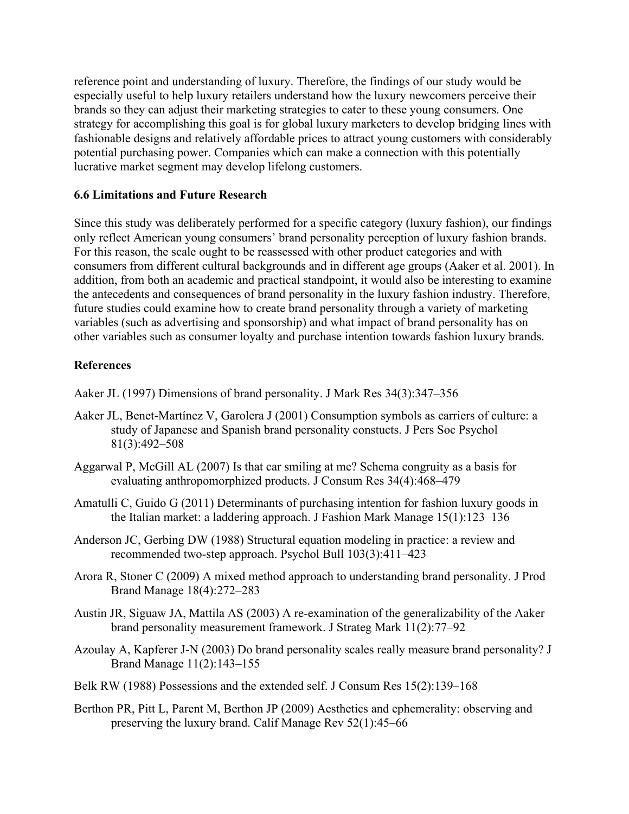reference point and understanding of luxury. Therefore, the findings of our study would be especially useful to help luxury retailers understand how the luxury newcomers perceive their brands so they can adjust their marketing strategies to cater to these young consumers. One strategy for accomplishing this goal is for global luxury marketers to develop bridging lines with fashionable designs and relatively affordable prices to attract young customers with considerably potential purchasing power. Companies which can make a connection with this potentially lucrative market segment may develop lifelong customers.

#### **6.6 Limitations and Future Research**

Since this study was deliberately performed for a specific category (luxury fashion), our findings only reflect American young consumers' brand personality perception of luxury fashion brands. For this reason, the scale ought to be reassessed with other product categories and with consumers from different cultural backgrounds and in different age groups (Aaker et al. 2001). In addition, from both an academic and practical standpoint, it would also be interesting to examine the antecedents and consequences of brand personality in the luxury fashion industry. Therefore, future studies could examine how to create brand personality through a variety of marketing variables (such as advertising and sponsorship) and what impact of brand personality has on other variables such as consumer loyalty and purchase intention towards fashion luxury brands.

## **References**

Aaker JL (1997) Dimensions of brand personality. J Mark Res 34(3):347–356

- Aaker JL, Benet-Martínez V, Garolera J (2001) Consumption symbols as carriers of culture: a study of Japanese and Spanish brand personality constucts. J Pers Soc Psychol 81(3):492–508
- Aggarwal P, McGill AL (2007) Is that car smiling at me? Schema congruity as a basis for evaluating anthropomorphized products. J Consum Res 34(4):468–479
- Amatulli C, Guido G (2011) Determinants of purchasing intention for fashion luxury goods in the Italian market: a laddering approach. J Fashion Mark Manage 15(1):123–136
- Anderson JC, Gerbing DW (1988) Structural equation modeling in practice: a review and recommended two-step approach. Psychol Bull 103(3):411–423
- Arora R, Stoner C (2009) A mixed method approach to understanding brand personality. J Prod Brand Manage 18(4):272–283
- Austin JR, Siguaw JA, Mattila AS (2003) A re-examination of the generalizability of the Aaker brand personality measurement framework. J Strateg Mark 11(2):77–92
- Azoulay A, Kapferer J-N (2003) Do brand personality scales really measure brand personality? J Brand Manage 11(2):143–155
- Belk RW (1988) Possessions and the extended self. J Consum Res 15(2):139–168
- Berthon PR, Pitt L, Parent M, Berthon JP (2009) Aesthetics and ephemerality: observing and preserving the luxury brand. Calif Manage Rev 52(1):45–66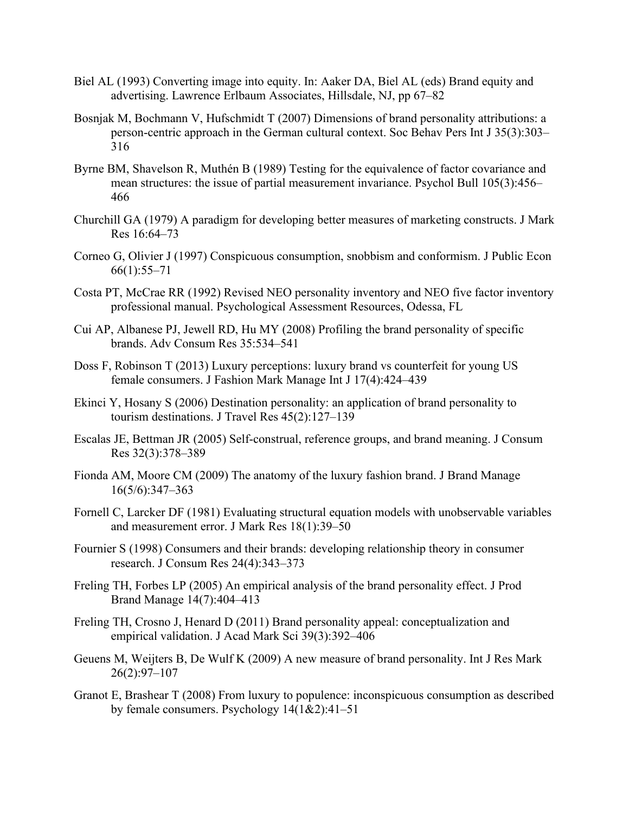- Biel AL (1993) Converting image into equity. In: Aaker DA, Biel AL (eds) Brand equity and advertising. Lawrence Erlbaum Associates, Hillsdale, NJ, pp 67–82
- Bosnjak M, Bochmann V, Hufschmidt T (2007) Dimensions of brand personality attributions: a person-centric approach in the German cultural context. Soc Behav Pers Int J 35(3):303– 316
- Byrne BM, Shavelson R, Muthén B (1989) Testing for the equivalence of factor covariance and mean structures: the issue of partial measurement invariance. Psychol Bull 105(3):456– 466
- Churchill GA (1979) A paradigm for developing better measures of marketing constructs. J Mark Res 16:64–73
- Corneo G, Olivier J (1997) Conspicuous consumption, snobbism and conformism. J Public Econ 66(1):55–71
- Costa PT, McCrae RR (1992) Revised NEO personality inventory and NEO five factor inventory professional manual. Psychological Assessment Resources, Odessa, FL
- Cui AP, Albanese PJ, Jewell RD, Hu MY (2008) Profiling the brand personality of specific brands. Adv Consum Res 35:534–541
- Doss F, Robinson T (2013) Luxury perceptions: luxury brand vs counterfeit for young US female consumers. J Fashion Mark Manage Int J 17(4):424–439
- Ekinci Y, Hosany S (2006) Destination personality: an application of brand personality to tourism destinations. J Travel Res 45(2):127–139
- Escalas JE, Bettman JR (2005) Self-construal, reference groups, and brand meaning. J Consum Res 32(3):378–389
- Fionda AM, Moore CM (2009) The anatomy of the luxury fashion brand. J Brand Manage 16(5/6):347–363
- Fornell C, Larcker DF (1981) Evaluating structural equation models with unobservable variables and measurement error. J Mark Res 18(1):39–50
- Fournier S (1998) Consumers and their brands: developing relationship theory in consumer research. J Consum Res 24(4):343–373
- Freling TH, Forbes LP (2005) An empirical analysis of the brand personality effect. J Prod Brand Manage 14(7):404–413
- Freling TH, Crosno J, Henard D (2011) Brand personality appeal: conceptualization and empirical validation. J Acad Mark Sci 39(3):392–406
- Geuens M, Weijters B, De Wulf K (2009) A new measure of brand personality. Int J Res Mark 26(2):97–107
- Granot E, Brashear T (2008) From luxury to populence: inconspicuous consumption as described by female consumers. Psychology 14(1&2):41–51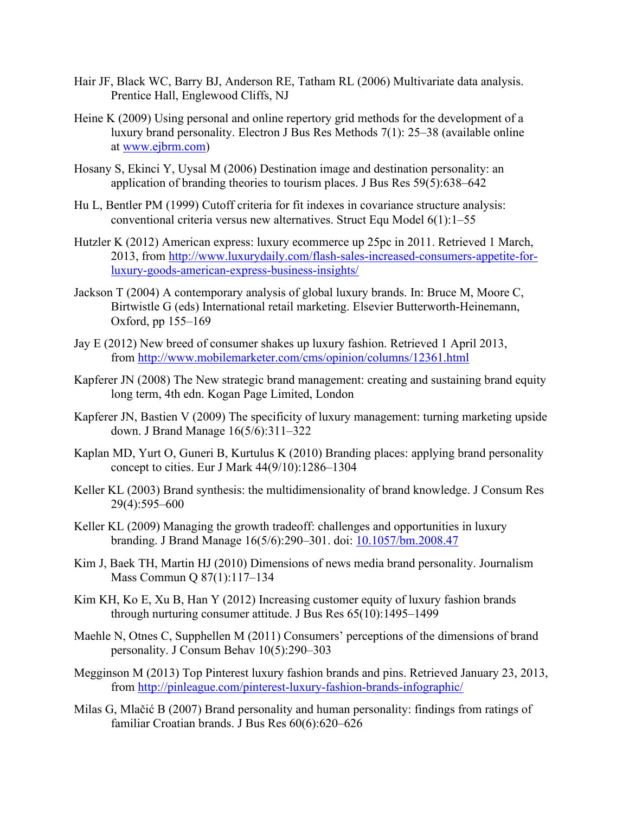- Hair JF, Black WC, Barry BJ, Anderson RE, Tatham RL (2006) Multivariate data analysis. Prentice Hall, Englewood Cliffs, NJ
- Heine K (2009) Using personal and online repertory grid methods for the development of a luxury brand personality. Electron J Bus Res Methods 7(1): 25–38 (available online at [www.ejbrm.com\)](http://www.ejbrm.com/)
- Hosany S, Ekinci Y, Uysal M (2006) Destination image and destination personality: an application of branding theories to tourism places. J Bus Res 59(5):638–642
- Hu L, Bentler PM (1999) Cutoff criteria for fit indexes in covariance structure analysis: conventional criteria versus new alternatives. Struct Equ Model 6(1):1–55
- Hutzler K (2012) American express: luxury ecommerce up 25pc in 2011. Retrieved 1 March, 2013, from [http://www.luxurydaily.com/flash-sales-increased-consumers-appetite-for](http://www.luxurydaily.com/flash-sales-increased-consumers-appetite-for-luxury-goods-american-express-business-insights/)[luxury-goods-american-express-business-insights/](http://www.luxurydaily.com/flash-sales-increased-consumers-appetite-for-luxury-goods-american-express-business-insights/)
- Jackson T (2004) A contemporary analysis of global luxury brands. In: Bruce M, Moore C, Birtwistle G (eds) International retail marketing. Elsevier Butterworth-Heinemann, Oxford, pp 155–169
- Jay E (2012) New breed of consumer shakes up luxury fashion. Retrieved 1 April 2013, from <http://www.mobilemarketer.com/cms/opinion/columns/12361.html>
- Kapferer JN (2008) The New strategic brand management: creating and sustaining brand equity long term, 4th edn. Kogan Page Limited, London
- Kapferer JN, Bastien V (2009) The specificity of luxury management: turning marketing upside down. J Brand Manage 16(5/6):311–322
- Kaplan MD, Yurt O, Guneri B, Kurtulus K (2010) Branding places: applying brand personality concept to cities. Eur J Mark 44(9/10):1286–1304
- Keller KL (2003) Brand synthesis: the multidimensionality of brand knowledge. J Consum Res 29(4):595–600
- Keller KL (2009) Managing the growth tradeoff: challenges and opportunities in luxury branding. J Brand Manage 16(5/6):290–301. doi: [10.1057/bm.2008.47](https://doi.org/10.1057/bm.2008.47)
- Kim J, Baek TH, Martin HJ (2010) Dimensions of news media brand personality. Journalism Mass Commun Q 87(1):117–134
- Kim KH, Ko E, Xu B, Han Y (2012) Increasing customer equity of luxury fashion brands through nurturing consumer attitude. J Bus Res 65(10):1495–1499
- Maehle N, Otnes C, Supphellen M (2011) Consumers' perceptions of the dimensions of brand personality. J Consum Behav 10(5):290–303
- Megginson M (2013) Top Pinterest luxury fashion brands and pins. Retrieved January 23, 2013, from <http://pinleague.com/pinterest-luxury-fashion-brands-infographic/>
- Milas G, Mlačić B (2007) Brand personality and human personality: findings from ratings of familiar Croatian brands. J Bus Res 60(6):620–626